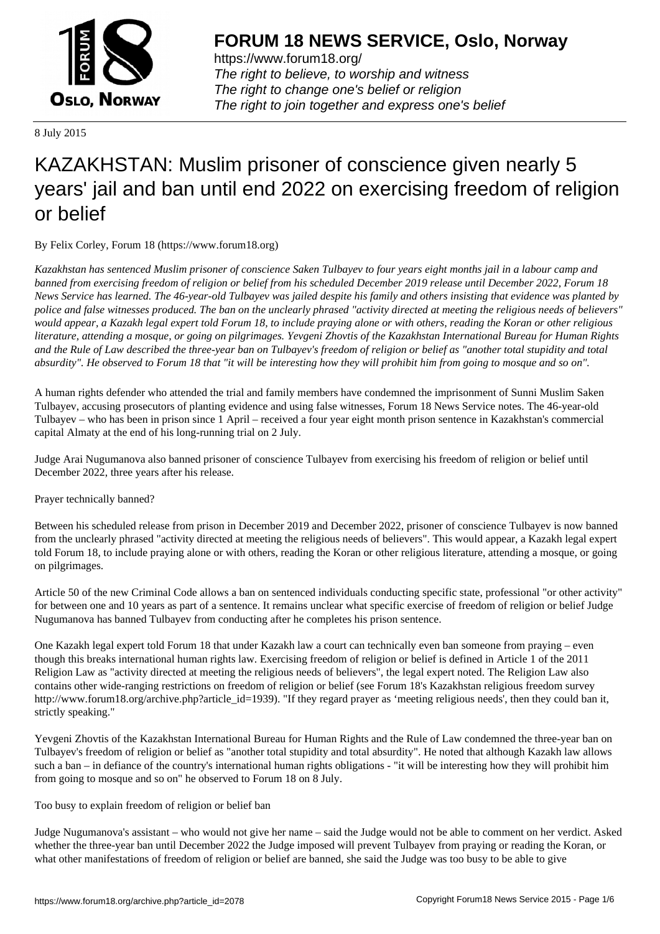

https://www.forum18.org/ The right to believe, to worship and witness The right to change one's belief or religion [The right to join together a](https://www.forum18.org/)nd express one's belief

8 July 2015

# [KAZAKHSTAN:](https://www.forum18.org) Muslim prisoner of conscience given nearly 5 years' jail and ban until end 2022 on exercising freedom of religion or belief

By Felix Corley, Forum 18 (https://www.forum18.org)

*Kazakhstan has sentenced Muslim prisoner of conscience Saken Tulbayev to four years eight months jail in a labour camp and banned from exercising freedom of religion or belief from his scheduled December 2019 release until December 2022, Forum 18 News Service has learned. The 46-year-old Tulbayev was jailed despite his family and others insisting that evidence was planted by police and false witnesses produced. The ban on the unclearly phrased "activity directed at meeting the religious needs of believers" would appear, a Kazakh legal expert told Forum 18, to include praying alone or with others, reading the Koran or other religious literature, attending a mosque, or going on pilgrimages. Yevgeni Zhovtis of the Kazakhstan International Bureau for Human Rights and the Rule of Law described the three-year ban on Tulbayev's freedom of religion or belief as "another total stupidity and total absurdity". He observed to Forum 18 that "it will be interesting how they will prohibit him from going to mosque and so on".*

A human rights defender who attended the trial and family members have condemned the imprisonment of Sunni Muslim Saken Tulbayev, accusing prosecutors of planting evidence and using false witnesses, Forum 18 News Service notes. The 46-year-old Tulbayev – who has been in prison since 1 April – received a four year eight month prison sentence in Kazakhstan's commercial capital Almaty at the end of his long-running trial on 2 July.

Judge Arai Nugumanova also banned prisoner of conscience Tulbayev from exercising his freedom of religion or belief until December 2022, three years after his release.

Prayer technically banned?

Between his scheduled release from prison in December 2019 and December 2022, prisoner of conscience Tulbayev is now banned from the unclearly phrased "activity directed at meeting the religious needs of believers". This would appear, a Kazakh legal expert told Forum 18, to include praying alone or with others, reading the Koran or other religious literature, attending a mosque, or going on pilgrimages.

Article 50 of the new Criminal Code allows a ban on sentenced individuals conducting specific state, professional "or other activity" for between one and 10 years as part of a sentence. It remains unclear what specific exercise of freedom of religion or belief Judge Nugumanova has banned Tulbayev from conducting after he completes his prison sentence.

One Kazakh legal expert told Forum 18 that under Kazakh law a court can technically even ban someone from praying – even though this breaks international human rights law. Exercising freedom of religion or belief is defined in Article 1 of the 2011 Religion Law as "activity directed at meeting the religious needs of believers", the legal expert noted. The Religion Law also contains other wide-ranging restrictions on freedom of religion or belief (see Forum 18's Kazakhstan religious freedom survey http://www.forum18.org/archive.php?article\_id=1939). "If they regard prayer as 'meeting religious needs', then they could ban it, strictly speaking."

Yevgeni Zhovtis of the Kazakhstan International Bureau for Human Rights and the Rule of Law condemned the three-year ban on Tulbayev's freedom of religion or belief as "another total stupidity and total absurdity". He noted that although Kazakh law allows such a ban – in defiance of the country's international human rights obligations - "it will be interesting how they will prohibit him from going to mosque and so on" he observed to Forum 18 on 8 July.

Too busy to explain freedom of religion or belief ban

Judge Nugumanova's assistant – who would not give her name – said the Judge would not be able to comment on her verdict. Asked whether the three-year ban until December 2022 the Judge imposed will prevent Tulbayev from praying or reading the Koran, or what other manifestations of freedom of religion or belief are banned, she said the Judge was too busy to be able to give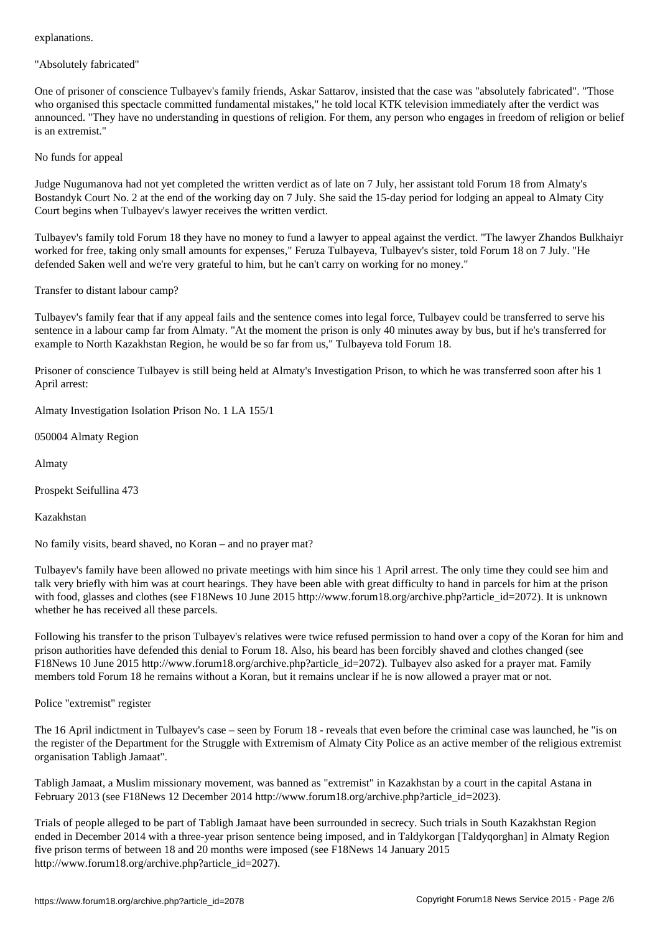"Absolutely fabricated"

One of prisoner of conscience Tulbayev's family friends, Askar Sattarov, insisted that the case was "absolutely fabricated". "Those who organised this spectacle committed fundamental mistakes," he told local KTK television immediately after the verdict was announced. "They have no understanding in questions of religion. For them, any person who engages in freedom of religion or belief is an extremist."

## No funds for appeal

Judge Nugumanova had not yet completed the written verdict as of late on 7 July, her assistant told Forum 18 from Almaty's Bostandyk Court No. 2 at the end of the working day on 7 July. She said the 15-day period for lodging an appeal to Almaty City Court begins when Tulbayev's lawyer receives the written verdict.

Tulbayev's family told Forum 18 they have no money to fund a lawyer to appeal against the verdict. "The lawyer Zhandos Bulkhaiyr worked for free, taking only small amounts for expenses," Feruza Tulbayeva, Tulbayev's sister, told Forum 18 on 7 July. "He defended Saken well and we're very grateful to him, but he can't carry on working for no money."

Transfer to distant labour camp?

Tulbayev's family fear that if any appeal fails and the sentence comes into legal force, Tulbayev could be transferred to serve his sentence in a labour camp far from Almaty. "At the moment the prison is only 40 minutes away by bus, but if he's transferred for example to North Kazakhstan Region, he would be so far from us," Tulbayeva told Forum 18.

Prisoner of conscience Tulbayev is still being held at Almaty's Investigation Prison, to which he was transferred soon after his 1 April arrest:

Almaty Investigation Isolation Prison No. 1 LA 155/1

050004 Almaty Region

Almaty

Prospekt Seifullina 473

Kazakhstan

No family visits, beard shaved, no Koran – and no prayer mat?

Tulbayev's family have been allowed no private meetings with him since his 1 April arrest. The only time they could see him and talk very briefly with him was at court hearings. They have been able with great difficulty to hand in parcels for him at the prison with food, glasses and clothes (see F18News 10 June 2015 http://www.forum18.org/archive.php?article\_id=2072). It is unknown whether he has received all these parcels.

Following his transfer to the prison Tulbayev's relatives were twice refused permission to hand over a copy of the Koran for him and prison authorities have defended this denial to Forum 18. Also, his beard has been forcibly shaved and clothes changed (see F18News 10 June 2015 http://www.forum18.org/archive.php?article\_id=2072). Tulbayev also asked for a prayer mat. Family members told Forum 18 he remains without a Koran, but it remains unclear if he is now allowed a prayer mat or not.

Police "extremist" register

The 16 April indictment in Tulbayev's case – seen by Forum 18 - reveals that even before the criminal case was launched, he "is on the register of the Department for the Struggle with Extremism of Almaty City Police as an active member of the religious extremist organisation Tabligh Jamaat".

Tabligh Jamaat, a Muslim missionary movement, was banned as "extremist" in Kazakhstan by a court in the capital Astana in February 2013 (see F18News 12 December 2014 http://www.forum18.org/archive.php?article\_id=2023).

Trials of people alleged to be part of Tabligh Jamaat have been surrounded in secrecy. Such trials in South Kazakhstan Region ended in December 2014 with a three-year prison sentence being imposed, and in Taldykorgan [Taldyqorghan] in Almaty Region five prison terms of between 18 and 20 months were imposed (see F18News 14 January 2015 http://www.forum18.org/archive.php?article\_id=2027).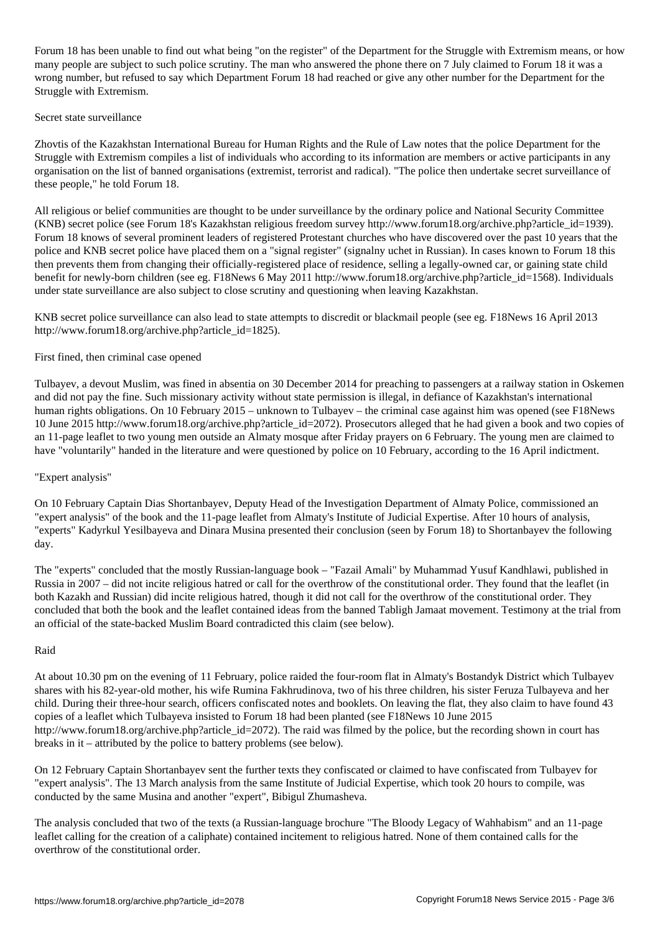Forum 18 has been unable to find out what being "on the register" of the Department for the Struggle with Extremism means, or how many people are subject to such police scrutiny. The man who answered the phone there on 7 July claimed to Forum 18 it was a wrong number, but refused to say which Department Forum 18 had reached or give any other number for the Department for the Struggle with Extremism.

### Secret state surveillance

Zhovtis of the Kazakhstan International Bureau for Human Rights and the Rule of Law notes that the police Department for the Struggle with Extremism compiles a list of individuals who according to its information are members or active participants in any organisation on the list of banned organisations (extremist, terrorist and radical). "The police then undertake secret surveillance of these people," he told Forum 18.

All religious or belief communities are thought to be under surveillance by the ordinary police and National Security Committee (KNB) secret police (see Forum 18's Kazakhstan religious freedom survey http://www.forum18.org/archive.php?article\_id=1939). Forum 18 knows of several prominent leaders of registered Protestant churches who have discovered over the past 10 years that the police and KNB secret police have placed them on a "signal register" (signalny uchet in Russian). In cases known to Forum 18 this then prevents them from changing their officially-registered place of residence, selling a legally-owned car, or gaining state child benefit for newly-born children (see eg. F18News 6 May 2011 http://www.forum18.org/archive.php?article\_id=1568). Individuals under state surveillance are also subject to close scrutiny and questioning when leaving Kazakhstan.

KNB secret police surveillance can also lead to state attempts to discredit or blackmail people (see eg. F18News 16 April 2013 http://www.forum18.org/archive.php?article\_id=1825).

## First fined, then criminal case opened

Tulbayev, a devout Muslim, was fined in absentia on 30 December 2014 for preaching to passengers at a railway station in Oskemen and did not pay the fine. Such missionary activity without state permission is illegal, in defiance of Kazakhstan's international human rights obligations. On 10 February 2015 – unknown to Tulbayev – the criminal case against him was opened (see F18News 10 June 2015 http://www.forum18.org/archive.php?article\_id=2072). Prosecutors alleged that he had given a book and two copies of an 11-page leaflet to two young men outside an Almaty mosque after Friday prayers on 6 February. The young men are claimed to have "voluntarily" handed in the literature and were questioned by police on 10 February, according to the 16 April indictment.

## "Expert analysis"

On 10 February Captain Dias Shortanbayev, Deputy Head of the Investigation Department of Almaty Police, commissioned an "expert analysis" of the book and the 11-page leaflet from Almaty's Institute of Judicial Expertise. After 10 hours of analysis, "experts" Kadyrkul Yesilbayeva and Dinara Musina presented their conclusion (seen by Forum 18) to Shortanbayev the following day.

The "experts" concluded that the mostly Russian-language book – "Fazail Amali" by Muhammad Yusuf Kandhlawi, published in Russia in 2007 – did not incite religious hatred or call for the overthrow of the constitutional order. They found that the leaflet (in both Kazakh and Russian) did incite religious hatred, though it did not call for the overthrow of the constitutional order. They concluded that both the book and the leaflet contained ideas from the banned Tabligh Jamaat movement. Testimony at the trial from an official of the state-backed Muslim Board contradicted this claim (see below).

## Raid

At about 10.30 pm on the evening of 11 February, police raided the four-room flat in Almaty's Bostandyk District which Tulbayev shares with his 82-year-old mother, his wife Rumina Fakhrudinova, two of his three children, his sister Feruza Tulbayeva and her child. During their three-hour search, officers confiscated notes and booklets. On leaving the flat, they also claim to have found 43 copies of a leaflet which Tulbayeva insisted to Forum 18 had been planted (see F18News 10 June 2015 http://www.forum18.org/archive.php?article\_id=2072). The raid was filmed by the police, but the recording shown in court has breaks in it – attributed by the police to battery problems (see below).

On 12 February Captain Shortanbayev sent the further texts they confiscated or claimed to have confiscated from Tulbayev for "expert analysis". The 13 March analysis from the same Institute of Judicial Expertise, which took 20 hours to compile, was conducted by the same Musina and another "expert", Bibigul Zhumasheva.

The analysis concluded that two of the texts (a Russian-language brochure "The Bloody Legacy of Wahhabism" and an 11-page leaflet calling for the creation of a caliphate) contained incitement to religious hatred. None of them contained calls for the overthrow of the constitutional order.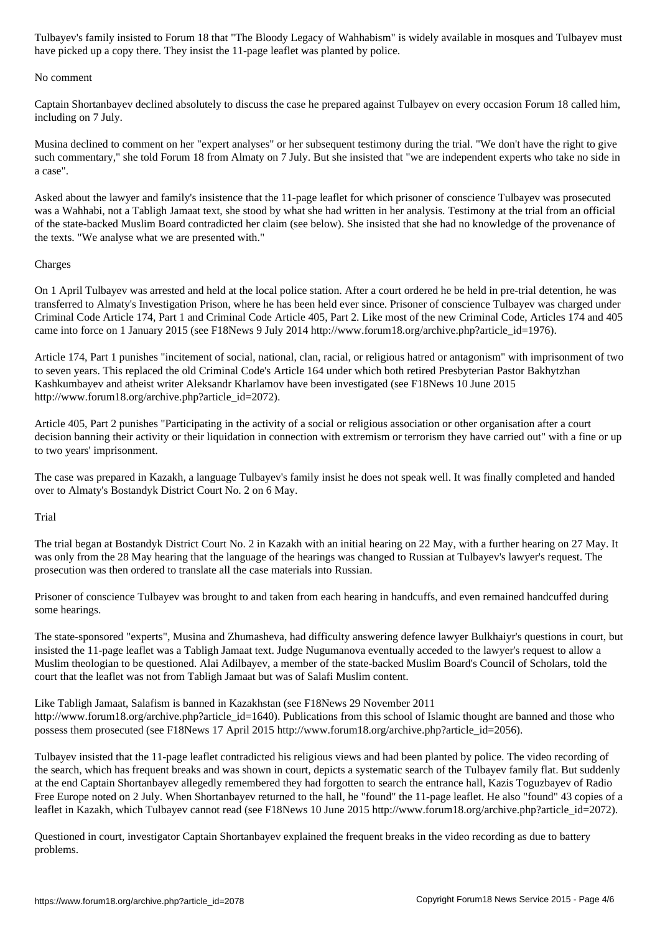have picked up a copy there. They insist the 11-page leaflet was planted by police.

#### No comment

Captain Shortanbayev declined absolutely to discuss the case he prepared against Tulbayev on every occasion Forum 18 called him, including on 7 July.

Musina declined to comment on her "expert analyses" or her subsequent testimony during the trial. "We don't have the right to give such commentary," she told Forum 18 from Almaty on 7 July. But she insisted that "we are independent experts who take no side in a case".

Asked about the lawyer and family's insistence that the 11-page leaflet for which prisoner of conscience Tulbayev was prosecuted was a Wahhabi, not a Tabligh Jamaat text, she stood by what she had written in her analysis. Testimony at the trial from an official of the state-backed Muslim Board contradicted her claim (see below). She insisted that she had no knowledge of the provenance of the texts. "We analyse what we are presented with."

## Charges

On 1 April Tulbayev was arrested and held at the local police station. After a court ordered he be held in pre-trial detention, he was transferred to Almaty's Investigation Prison, where he has been held ever since. Prisoner of conscience Tulbayev was charged under Criminal Code Article 174, Part 1 and Criminal Code Article 405, Part 2. Like most of the new Criminal Code, Articles 174 and 405 came into force on 1 January 2015 (see F18News 9 July 2014 http://www.forum18.org/archive.php?article\_id=1976).

Article 174, Part 1 punishes "incitement of social, national, clan, racial, or religious hatred or antagonism" with imprisonment of two to seven years. This replaced the old Criminal Code's Article 164 under which both retired Presbyterian Pastor Bakhytzhan Kashkumbayev and atheist writer Aleksandr Kharlamov have been investigated (see F18News 10 June 2015 http://www.forum18.org/archive.php?article\_id=2072).

Article 405, Part 2 punishes "Participating in the activity of a social or religious association or other organisation after a court decision banning their activity or their liquidation in connection with extremism or terrorism they have carried out" with a fine or up to two years' imprisonment.

The case was prepared in Kazakh, a language Tulbayev's family insist he does not speak well. It was finally completed and handed over to Almaty's Bostandyk District Court No. 2 on 6 May.

## Trial

The trial began at Bostandyk District Court No. 2 in Kazakh with an initial hearing on 22 May, with a further hearing on 27 May. It was only from the 28 May hearing that the language of the hearings was changed to Russian at Tulbayev's lawyer's request. The prosecution was then ordered to translate all the case materials into Russian.

Prisoner of conscience Tulbayev was brought to and taken from each hearing in handcuffs, and even remained handcuffed during some hearings.

The state-sponsored "experts", Musina and Zhumasheva, had difficulty answering defence lawyer Bulkhaiyr's questions in court, but insisted the 11-page leaflet was a Tabligh Jamaat text. Judge Nugumanova eventually acceded to the lawyer's request to allow a Muslim theologian to be questioned. Alai Adilbayev, a member of the state-backed Muslim Board's Council of Scholars, told the court that the leaflet was not from Tabligh Jamaat but was of Salafi Muslim content.

Like Tabligh Jamaat, Salafism is banned in Kazakhstan (see F18News 29 November 2011 http://www.forum18.org/archive.php?article\_id=1640). Publications from this school of Islamic thought are banned and those who possess them prosecuted (see F18News 17 April 2015 http://www.forum18.org/archive.php?article\_id=2056).

Tulbayev insisted that the 11-page leaflet contradicted his religious views and had been planted by police. The video recording of the search, which has frequent breaks and was shown in court, depicts a systematic search of the Tulbayev family flat. But suddenly at the end Captain Shortanbayev allegedly remembered they had forgotten to search the entrance hall, Kazis Toguzbayev of Radio Free Europe noted on 2 July. When Shortanbayev returned to the hall, he "found" the 11-page leaflet. He also "found" 43 copies of a leaflet in Kazakh, which Tulbayev cannot read (see F18News 10 June 2015 http://www.forum18.org/archive.php?article\_id=2072).

Questioned in court, investigator Captain Shortanbayev explained the frequent breaks in the video recording as due to battery problems.